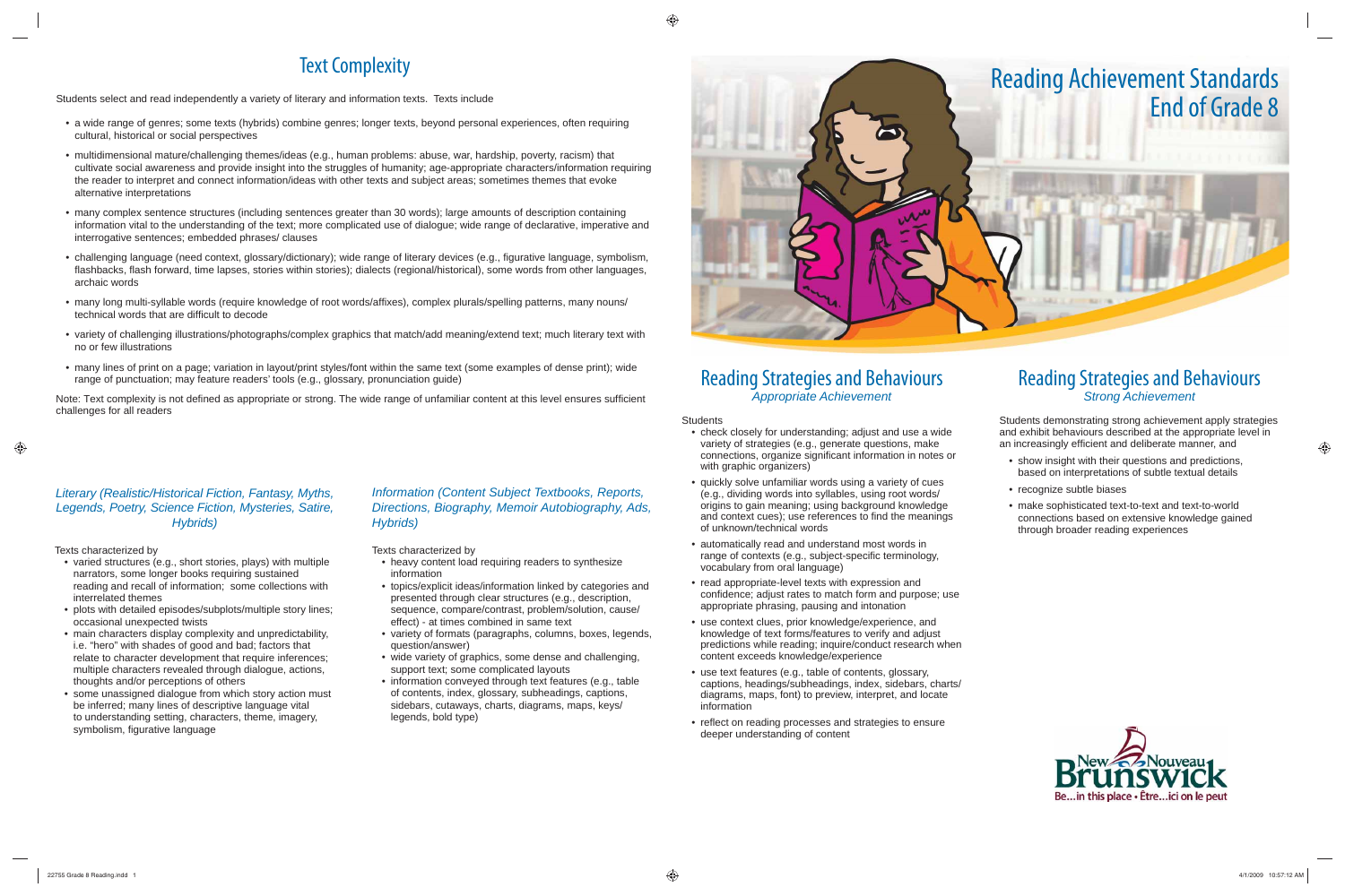## Reading Strategies and Behaviours *Appropriate Achievement*

**Students** 

Students demonstrating strong achievement apply strategies and exhibit behaviours described at the appropriate level in an increasingly efficient and deliberate manner, and

- check closely for understanding; adjust and use a wide variety of strategies (e.g., generate questions, make connections, organize significant information in notes or with graphic organizers)
- quickly solve unfamiliar words using a variety of cues (e.g., dividing words into syllables, using root words/ origins to gain meaning; using background knowledge and context cues); use references to find the meanings of unknown/technical words
- automatically read and understand most words in range of contexts (e.g., subject-specific terminology, vocabulary from oral language)
- read appropriate-level texts with expression and confidence; adjust rates to match form and purpose; use appropriate phrasing, pausing and intonation
- use context clues, prior knowledge/experience, and knowledge of text forms/features to verify and adjust predictions while reading; inquire/conduct research when content exceeds knowledge/experience
- use text features (e.g., table of contents, glossary, captions, headings/subheadings, index, sidebars, charts/ diagrams, maps, font) to preview, interpret, and locate information
- reflect on reading processes and strategies to ensure deeper understanding of content

## Reading Strategies and Behaviours *Strong Achievement*

- show insight with their questions and predictions, based on interpretations of subtle textual details
- recognize subtle biases
- make sophisticated text-to-text and text-to-world connections based on extensive knowledge gained through broader reading experiences



## Text Complexity

Students select and read independently a variety of literary and information texts. Texts include

Note: Text complexity is not defined as appropriate or strong. The wide range of unfamiliar content at this level ensures sufficient challenges for all readers

- varied structures (e.g., short stories, plays) with multiple narrators, some longer books requiring sustained reading and recall of information; some collections with interrelated themes
- plots with detailed episodes/subplots/multiple story lines; occasional unexpected twists
- main characters display complexity and unpredictability, i.e. "hero" with shades of good and bad; factors that relate to character development that require inferences; multiple characters revealed through dialogue, actions, thoughts and/or perceptions of others
- some unassigned dialogue from which story action must be inferred; many lines of descriptive language vital to understanding setting, characters, theme, imagery, symbolism, figurative language
- a wide range of genres; some texts (hybrids) combine genres; longer texts, beyond personal experiences, often requiring cultural, historical or social perspectives
- multidimensional mature/challenging themes/ideas (e.g., human problems: abuse, war, hardship, poverty, racism) that cultivate social awareness and provide insight into the struggles of humanity; age-appropriate characters/information requiring the reader to interpret and connect information/ideas with other texts and subject areas; sometimes themes that evoke alternative interpretations
- many complex sentence structures (including sentences greater than 30 words); large amounts of description containing information vital to the understanding of the text; more complicated use of dialogue; wide range of declarative, imperative and interrogative sentences; embedded phrases/ clauses
- challenging language (need context, glossary/dictionary); wide range of literary devices (e.g., figurative language, symbolism, flashbacks, flash forward, time lapses, stories within stories); dialects (regional/historical), some words from other languages, archaic words
- many long multi-syllable words (require knowledge of root words/affixes), complex plurals/spelling patterns, many nouns/ technical words that are difficult to decode
- variety of challenging illustrations/photographs/complex graphics that match/add meaning/extend text; much literary text with no or few illustrations
- many lines of print on a page; variation in layout/print styles/font within the same text (some examples of dense print); wide range of punctuation; may feature readers' tools (e.g., glossary, pronunciation guide)

### *Literary (Realistic/Historical Fiction, Fantasy, Myths, Legends, Poetry, Science Fiction, Mysteries, Satire, Hybrids)*

#### Texts characterized by

#### *Information (Content Subject Textbooks, Reports, Directions, Biography, Memoir Autobiography, Ads, Hybrids)*

Texts characterized by

- heavy content load requiring readers to synthesize information
- topics/explicit ideas/information linked by categories and presented through clear structures (e.g., description, sequence, compare/contrast, problem/solution, cause/ effect) - at times combined in same text
- variety of formats (paragraphs, columns, boxes, legends, question/answer)
- wide variety of graphics, some dense and challenging, support text; some complicated layouts
- information conveyed through text features (e.g., table of contents, index, glossary, subheadings, captions, sidebars, cutaways, charts, diagrams, maps, keys/ legends, bold type)